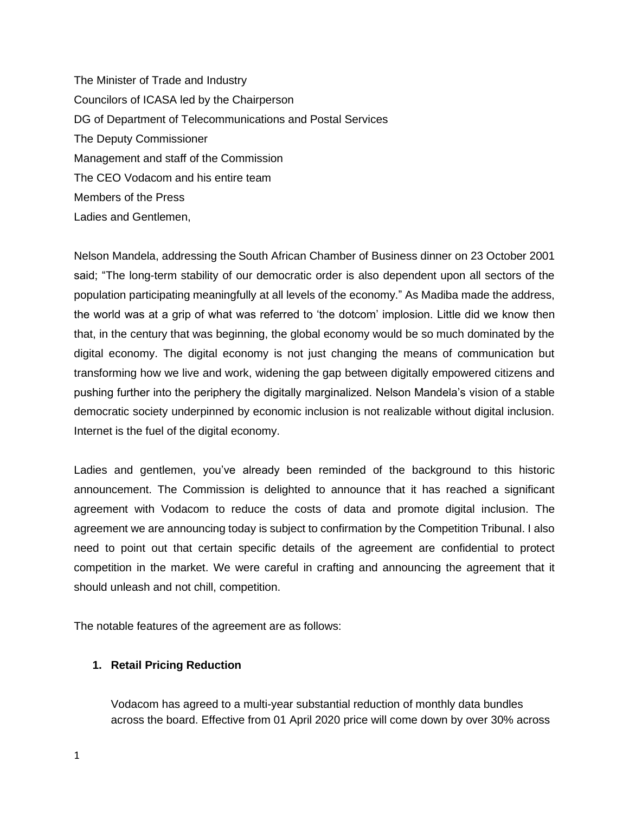The Minister of Trade and Industry Councilors of ICASA led by the Chairperson DG of Department of Telecommunications and Postal Services The Deputy Commissioner Management and staff of the Commission The CEO Vodacom and his entire team Members of the Press Ladies and Gentlemen,

Nelson Mandela, addressing the South African Chamber of Business dinner on 23 October 2001 said; "The long-term stability of our democratic order is also dependent upon all sectors of the population participating meaningfully at all levels of the economy." As Madiba made the address, the world was at a grip of what was referred to 'the dotcom' implosion. Little did we know then that, in the century that was beginning, the global economy would be so much dominated by the digital economy. The digital economy is not just changing the means of communication but transforming how we live and work, widening the gap between digitally empowered citizens and pushing further into the periphery the digitally marginalized. Nelson Mandela's vision of a stable democratic society underpinned by economic inclusion is not realizable without digital inclusion. Internet is the fuel of the digital economy.

Ladies and gentlemen, you've already been reminded of the background to this historic announcement. The Commission is delighted to announce that it has reached a significant agreement with Vodacom to reduce the costs of data and promote digital inclusion. The agreement we are announcing today is subject to confirmation by the Competition Tribunal. I also need to point out that certain specific details of the agreement are confidential to protect competition in the market. We were careful in crafting and announcing the agreement that it should unleash and not chill, competition.

The notable features of the agreement are as follows:

## **1. Retail Pricing Reduction**

Vodacom has agreed to a multi-year substantial reduction of monthly data bundles across the board. Effective from 01 April 2020 price will come down by over 30% across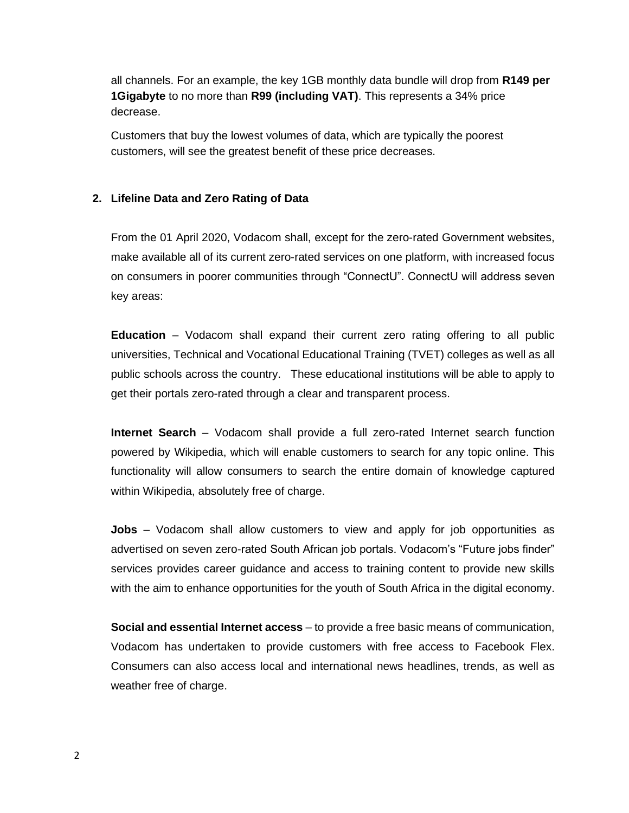all channels. For an example, the key 1GB monthly data bundle will drop from **R149 per 1Gigabyte** to no more than **R99 (including VAT)**. This represents a 34% price decrease.

Customers that buy the lowest volumes of data, which are typically the poorest customers, will see the greatest benefit of these price decreases.

## **2. Lifeline Data and Zero Rating of Data**

From the 01 April 2020, Vodacom shall, except for the zero-rated Government websites, make available all of its current zero-rated services on one platform, with increased focus on consumers in poorer communities through "ConnectU". ConnectU will address seven key areas:

**Education** – Vodacom shall expand their current zero rating offering to all public universities, Technical and Vocational Educational Training (TVET) colleges as well as all public schools across the country. These educational institutions will be able to apply to get their portals zero-rated through a clear and transparent process.

**Internet Search** – Vodacom shall provide a full zero-rated Internet search function powered by Wikipedia, which will enable customers to search for any topic online. This functionality will allow consumers to search the entire domain of knowledge captured within Wikipedia, absolutely free of charge.

**Jobs** – Vodacom shall allow customers to view and apply for job opportunities as advertised on seven zero-rated South African job portals. Vodacom's "Future jobs finder" services provides career guidance and access to training content to provide new skills with the aim to enhance opportunities for the youth of South Africa in the digital economy.

**Social and essential Internet access** – to provide a free basic means of communication, Vodacom has undertaken to provide customers with free access to Facebook Flex. Consumers can also access local and international news headlines, trends, as well as weather free of charge.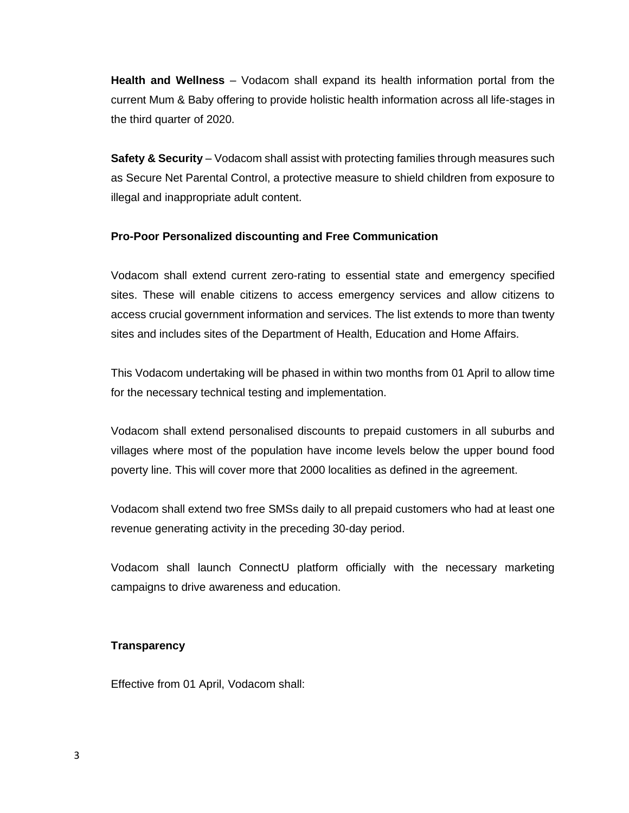**Health and Wellness** – Vodacom shall expand its health information portal from the current Mum & Baby offering to provide holistic health information across all life-stages in the third quarter of 2020.

**Safety & Security** – Vodacom shall assist with protecting families through measures such as Secure Net Parental Control, a protective measure to shield children from exposure to illegal and inappropriate adult content.

## **Pro-Poor Personalized discounting and Free Communication**

Vodacom shall extend current zero-rating to essential state and emergency specified sites. These will enable citizens to access emergency services and allow citizens to access crucial government information and services. The list extends to more than twenty sites and includes sites of the Department of Health, Education and Home Affairs.

This Vodacom undertaking will be phased in within two months from 01 April to allow time for the necessary technical testing and implementation.

Vodacom shall extend personalised discounts to prepaid customers in all suburbs and villages where most of the population have income levels below the upper bound food poverty line. This will cover more that 2000 localities as defined in the agreement.

Vodacom shall extend two free SMSs daily to all prepaid customers who had at least one revenue generating activity in the preceding 30-day period.

Vodacom shall launch ConnectU platform officially with the necessary marketing campaigns to drive awareness and education.

## **Transparency**

Effective from 01 April, Vodacom shall: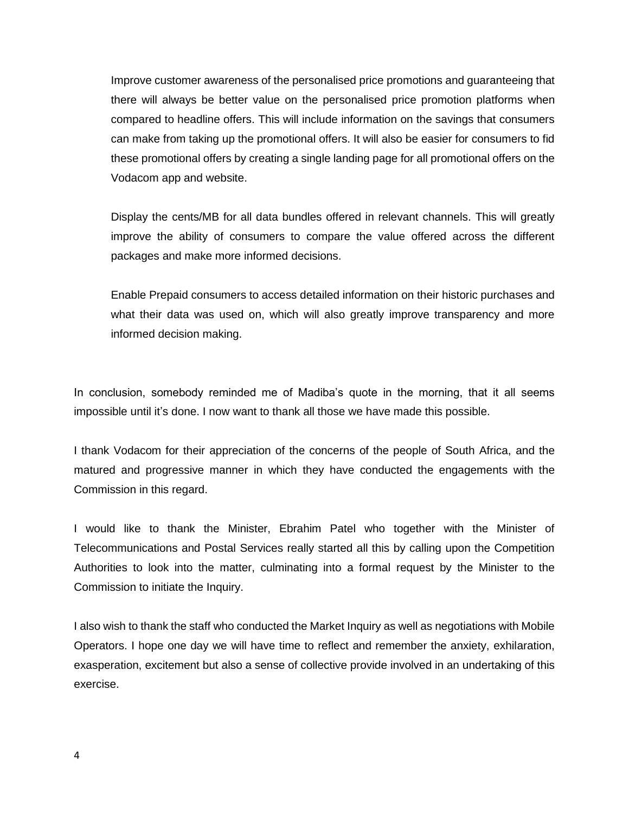Improve customer awareness of the personalised price promotions and guaranteeing that there will always be better value on the personalised price promotion platforms when compared to headline offers. This will include information on the savings that consumers can make from taking up the promotional offers. It will also be easier for consumers to fid these promotional offers by creating a single landing page for all promotional offers on the Vodacom app and website.

Display the cents/MB for all data bundles offered in relevant channels. This will greatly improve the ability of consumers to compare the value offered across the different packages and make more informed decisions.

Enable Prepaid consumers to access detailed information on their historic purchases and what their data was used on, which will also greatly improve transparency and more informed decision making.

In conclusion, somebody reminded me of Madiba's quote in the morning, that it all seems impossible until it's done. I now want to thank all those we have made this possible.

I thank Vodacom for their appreciation of the concerns of the people of South Africa, and the matured and progressive manner in which they have conducted the engagements with the Commission in this regard.

I would like to thank the Minister, Ebrahim Patel who together with the Minister of Telecommunications and Postal Services really started all this by calling upon the Competition Authorities to look into the matter, culminating into a formal request by the Minister to the Commission to initiate the Inquiry.

I also wish to thank the staff who conducted the Market Inquiry as well as negotiations with Mobile Operators. I hope one day we will have time to reflect and remember the anxiety, exhilaration, exasperation, excitement but also a sense of collective provide involved in an undertaking of this exercise.